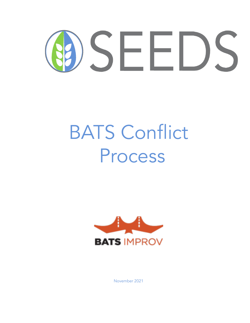

# BATS Conflict Process



November 2021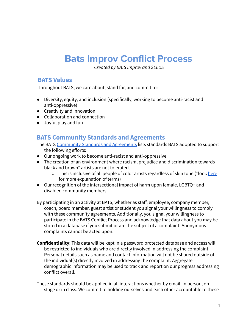# **Bats Improv Conflict Process**

*Created by BATS Improv and SEEDS*

#### **BATS Values**

Throughout BATS, we care about, stand for, and commit to:

- Diversity, equity, and inclusion (specifically, working to become anti-racist and anti-oppressive)
- Creativity and innovation
- Collaboration and connection
- Joyful play and fun

### **BATS Community Standards and Agreements**

The BATS Community Standards and [Agreements](https://www.improv.org/about-us/community-standards/) lists standards BATS adopted to support the following efforts:

- Our ongoing work to become anti-racist and anti-oppressive
- The creation of an environment where racism, prejudice and discrimination towards black and brown\* artists are not tolerated.
	- This is inclusive of all people of color artists regardless of skin tone (\*look [here](https://docs.google.com/document/d/1Dw4Zm1t8O6dQkYQHFjWheyObQN4yGLl83K6Ph-BWeCo/edit?usp=sharing) for more explanation of terms)
- Our recognition of the intersectional impact of harm upon female, LGBTQ+ and disabled community members.
- By participating in an activity at BATS, whether as staff, employee, company member, coach, board member, guest artist or student you signal your willingness to comply with these community agreements. Additionally, you signal your willingness to participate in the BATS Conflict Process and acknowledge that data about you may be stored in a database if you submit or are the subject of a complaint. Anonymous complaints cannot be acted upon.
- **Confidentiality**: This data will be kept in a password protected database and access will be restricted to individuals who are directly involved in addressing the complaint. Personal details such as name and contact information will not be shared outside of the individual(s) directly involved in addressing the complaint. Aggregate demographic information may be used to track and report on our progress addressing conflict overall.

These standards should be applied in all interactions whether by email, in person, on stage or in class. We commit to holding ourselves and each other accountable to these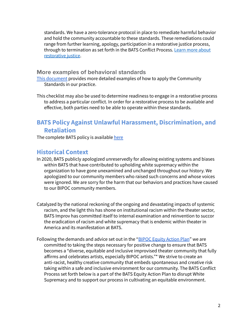standards. We have a zero-tolerance protocol in place to remediate harmful behavior and hold the community accountable to these standards. These remediations could range from further learning, apology, participation in a restorative justice process, through to termination as set forth in the BATS Conflict Process. Learn more [about](http://restorativejustice.org/restorative-justice/about-restorative-justice/tutorial-intro-to-restorative-justice/lesson-1-what-is-restorative-justice/#sthash.EQqgG3il.dpbs) [restorative](http://restorativejustice.org/restorative-justice/about-restorative-justice/tutorial-intro-to-restorative-justice/lesson-1-what-is-restorative-justice/#sthash.EQqgG3il.dpbs) justice.

#### **More examples of behavioral standards**

This [document](https://docs.google.com/document/d/1S5AyIFGx42eB421VVLwtEvU45BBTH4--J-u325yXz48/edit?usp=sharing) provides more detailed examples of how to apply the Community Standards in our practice.

This checklist may also be used to determine readiness to engage in a restorative process to address a particular conflict. In order for a restorative process to be available and effective, both parties need to be able to operate within these standards.

# **BATS Policy Against Unlawful Harassment, Discrimination, and Retaliation**

The complete BATS policy is available [here](http://www.improv.org/wp-content/uploads/2021/09/BATS-Improv-Harassment-and-Discrimination-Policy-Sep-2021-revision.pdf)

## **Historical Context**

- In 2020, BATS publicly apologized unreservedly for allowing existing systems and biases within BATS that have contributed to upholding white supremacy within the organization to have gone unexamined and unchanged throughout our history. We apologized to our community members who raised such concerns and whose voices were ignored. We are sorry for the harm that our behaviors and practices have caused to our BIPOC community members.
- Catalyzed by the national reckoning of the ongoing and devastating impacts of systemic racism, and the light this has shone on institutional racism within the theater sector, BATS Improv has committed itself to internal examination and reinvention to succor the eradication of racism and white supremacy that is endemic within theater in America and its manifestation at BATS.
- Following the demands and advice set out in the "BIPOC [Equity](https://www.bipoclivdoc.com/action-plan) Action Plan" we are committed to taking the steps necessary for positive change to ensure that BATS becomes a "diverse, equitable and inclusive improvised theater community that fully affirms and celebrates artists, especially BIPOC artists."\* We strive to create an anti-racist, healthy creative community that embeds spontaneous and creative risk taking within a safe and inclusive environment for our community. The BATS Conflict Process set forth below is a part of the BATS Equity Action Plan to disrupt White Supremacy and to support our process in cultivating an equitable environment.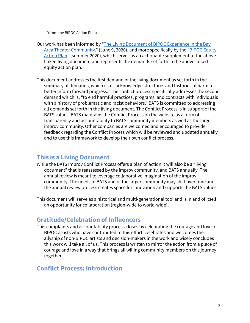\*(from the BIPOC Action Plan)

- Our work has been informed by "The Living Document of BIPOC [Experience](https://www.bipoclivdoc.com/) in the Bay Area Theater [Community,](https://www.bipoclivdoc.com/)" (June 9, 2020), and more specifically by the "BIPOC [Equity](https://www.bipoclivdoc.com/action-plan) [Action](https://www.bipoclivdoc.com/action-plan) Plan" (summer 2020), which serves as an actionable supplement to the above linked living document and represents the demands set forth in the above linked equity action plan.
- This document addresses the first demand of the living document as set forth in the summary of demands, which is to "acknowledge structures and histories of harm to better inform forward progress." The conflict process specifically addresses the second demand which is, "to end harmful practices, programs, and contracts with individuals with a history of problematic and racist behaviors." BATS is committed to addressing all demands set forth in the living document. The Conflict Process is in support of the BATS values. BATS maintains the Conflict Process on the website as a form of transparency and accountability to BATS community members as well as the larger improv community. Other companies are welcomed and encouraged to provide feedback regarding the Conflict Process which will be reviewed and updated annually and to use this framework to develop their own conflict process.

### **This is a Living Document**

- While the BATS Improv Conflict Process offers a plan of action it will also be a "living document" that is reassessed by the improv community, and BATS annually. The annual review is meant to leverage collaborative imagination of the improv community. The needs of BATS and of the larger community may shift over time and the annual review process creates space for innovation and supports the BATS values.
- This document will serve as a historical and multi-generational tool and is in and of itself an opportunity for collaboration (region-wide to world-wide).

#### **Gratitude/Celebration of Influencers**

This complaints and accountability process closes by celebrating the courage and love of BIPOC artists who have contributed to this effort, celebrates and welcomes the allyship of non-BIPOC artists and decision-makers in the work and wisely concludes this work will take all of us. This process is written to mirror the action from a place of courage and love in a way that brings all willing community members on this journey together.

# **Conflict Process: Introduction**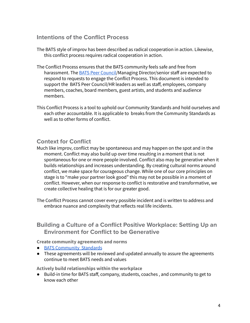#### **Intentions of the Conflict Process**

- The BATS style of improv has been described as radical cooperation in action. Likewise, this conflict process requires radical cooperation in action.
- The Conflict Process ensures that the BATS community feels safe and free from harassment. The BATS Peer [Council](https://docs.google.com/document/d/1i0-HSD14Wq7U5kTbedOYpw4yf3evhiEvURZGLi3DD1U/edit?usp=sharing)/Managing Director/senior staff are expected to respond to requests to engage the Conflict Process. This document is intended to support the BATS Peer Council/HR leaders as well as staff, employees, company members, coaches, board members, guest artists, and students and audience members.
- This Conflict Process is a tool to uphold our Community Standards and hold ourselves and each other accountable. It is applicable to breaks from the Community Standards as well as to other forms of conflict.

#### **Context for Conflict**

Much like improv, conflict may be spontaneous and may happen on the spot and in the moment. Conflict may also build up over time resulting in a moment that is not spontaneous for one or more people involved. Conflict also may be generative when it builds relationships and increases understanding. By creating cultural norms around conflict, we make space for courageous change. While one of our core principles on stage is to "make your partner look good" this may not be possible in a moment of conflict. However, when our response to conflict is restorative and transformative, we create collective healing that is for our greater good.

The Conflict Process cannot cover every possible incident and is written to address and embrace nuance and complexity that reflects real life incidents.

#### **Building a Culture of a Conflict Positive Workplace: Setting Up an Environment for Conflict to be Generative**

#### **Create community agreements and norms**

- BATS [Community](https://www.improv.org/about-us/community-standards/) Standards
- These agreements will be reviewed and updated annually to assure the agreements continue to meet BATS needs and values

**Actively build relationships within the workplace**

● Build-in time for BATS staff, company, students, coaches , and community to get to know each other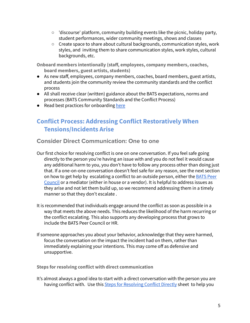- 'discourse' platform, community building events like the picnic, holiday party, student performances, wider community meetings, shows and classes
- Create space to share about cultural backgrounds, communication styles, work styles, and inviting them to share communication styles, work styles, cultural backgrounds, etc.

**Onboard members intentionally (staff, employees, company members, coaches, board members, guest artists, students)**

- As new staff, employees, company members, coaches, board members, guest artists, and students join the community review the community standards and the conflict process
- All shall receive clear (written) guidance about the BATS expectations, norms and processes (BATS Community Standards and the Conflict Process)
- Read best practices for onboarding [here](https://docs.google.com/document/d/1PXeTFGEWJiTrA2W6hceVA-t9p6wBkIVaDHBWRYP59DM/edit?usp=sharing)

# **Conflict Process: Addressing Conflict Restoratively When Tensions/Incidents Arise**

**Consider Direct Communication: One to one**

- Our first choice for resolving conflict is one on one conversation. If you feel safe going directly to the person you're having an issue with and you do not feel it would cause any additional harm to you, you don't have to follow any process other than doing just that. If a one-on-one conversation doesn't feel safe for any reason, see the next section on how to get help by escalating a conflict to an outside person, either the [BATS](https://docs.google.com/document/d/1i0-HSD14Wq7U5kTbedOYpw4yf3evhiEvURZGLi3DD1U/edit?usp=sharing) Peer [Council](https://docs.google.com/document/d/1i0-HSD14Wq7U5kTbedOYpw4yf3evhiEvURZGLi3DD1U/edit?usp=sharing) or a mediator (either in house or a vendor). It is helpful to address issues as they arise and not let them build up, so we recommend addressing them in a timely manner so that they don't escalate .
- It is recommended that individuals engage around the conflict as soon as possible in a way that meets the above needs. This reduces the likelihood of the harm recurring or the conflict escalating. This also supports any developing process that grows to include the BATS Peer Council or HR.
- If someone approaches you about your behavior, acknowledge that they were harmed, focus the conversation on the impact the incident had on them, rather than immediately explaining your intentions. This may come off as defensive and unsupportive.

**Steps for resolving conflict with direct communication**

It's almost always a good idea to start with a direct conversation with the person you are having conflict with. Use this Steps for [Resolving](https://docs.google.com/document/d/1h0_6vJ4Vm1GlfkJynsmHY71hZywix4HG8igpC7opKWM/edit?usp=sharing) Conflict Directly sheet to help you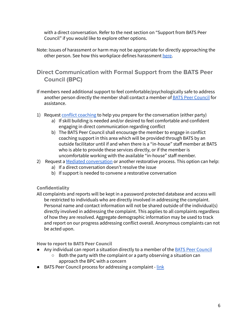with a direct conversation. Refer to the next section on "Support from BATS Peer Council" if you would like to explore other options.

Note: Issues of harassment or harm may not be appropriate for directly approaching the other person. See how this workplace defines harassment [here.](http://www.improv.org/wp-content/uploads/2021/09/BATS-Improv-Harassment-and-Discrimination-Policy-Sep-2021-revision.pdf)

**Direct Communication with Formal Support from the BATS Peer Council (BPC)**

- If members need additional support to feel comfortable/psychologically safe to address another person directly the member shall contact a member of BATS Peer [Council](https://docs.google.com/document/d/1i0-HSD14Wq7U5kTbedOYpw4yf3evhiEvURZGLi3DD1U/edit?usp=sharing) for assistance.
- 1) Request conflict [coaching](https://docs.google.com/document/d/1cwKQNiDMre8tJdlPDzc18dgN2Gguwvc2ATzGslvE0cs/edit?usp=sharing) to help you prepare for the conversation (either party)
	- a) If skill building is needed and/or desired to feel comfortable and confident engaging in direct communication regarding conflict
	- b) The BATS Peer Council shall encourage the member to engage in conflict coaching support in this area which will be provided through BATS by an outside facilitator until if and when there is a "in-house" staff member at BATS who is able to provide these services directly, or if the member is uncomfortable working with the available "in-house" staff member.
- 2) Request a Mediated [conversation](https://docs.google.com/document/d/1ob3o0KtIpYT_vycK204x13LHNJyB1zgZt3yjhgBAJHI/edit?usp=sharing) or another restorative process. This option can help:
	- a) If a direct conversation doesn't resolve the issue
	- b) If support is needed to convene a restorative conversation

**Confidentiality**

All complaints and reports will be kept in a password protected database and access will be restricted to individuals who are directly involved in addressing the complaint. Personal name and contact information will not be shared outside of the individual(s) directly involved in addressing the complaint. This applies to all complaints regardless of how they are resolved. Aggregate demographic information may be used to track and report on our progress addressing conflict overall. Anonymous complaints can not be acted upon.

**How to report to BATS Peer Council**

- Any individual can report a situation directly to a member of the BATS Peer [Council](https://docs.google.com/document/d/1i0-HSD14Wq7U5kTbedOYpw4yf3evhiEvURZGLi3DD1U/edit?usp=sharing)
	- Both the party with the complaint or a party observing a situation can approach the BPC with a concern
- BATS Peer Council process for addressing a complaint [link](https://docs.google.com/document/d/1i0-HSD14Wq7U5kTbedOYpw4yf3evhiEvURZGLi3DD1U/edit?usp=sharing)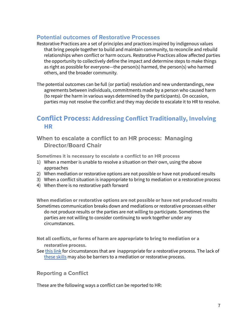#### **Potential outcomes of Restorative Processes**

Restorative Practices are a set of principles and practices inspired by indigenous values that bring people together to build and maintain community, to reconcile and rebuild relationships when conflict or harm occurs. Restorative Practices allow affected parties the opportunity to collectively define the impact and determine steps to make things as right as possible for everyone—the person(s) harmed, the person(s) who harmed others, and the broader community.

The potential outcomes can be full (or partial) resolution and new understandings, new agreements between individuals, commitments made by a person who caused harm (to repair the harm in various ways determined by the participants). On occasion, parties may not resolve the conflict and they may decide to escalate it to HR to resolve.

# **Conflict Process: Addressing Conflict Traditionally, Involving HR**

**When to escalate a conflict to an HR process: Managing Director/Board Chair**

**Sometimes it is necessary to escalate a conflict to an HR process**

- 1) When a member is unable to resolve a situation on their own, using the above approaches
- 2) When mediation or restorative options are not possible or have not produced results
- 3) When a conflict situation is inappropriate to bring to mediation or a restorative process
- 4) When there is no restorative path forward

**When mediation or restorative options are not possible or have not produced results** Sometimes communication breaks down and mediations or restorative processes either do not produce results or the parties are not willing to participate. Sometimes the parties are not willing to consider continuing to work together under any circumstances.

**Not all conflicts, or forms of harm are appropriate to bring to mediation or a restorative process.**

See this [link](https://docs.google.com/document/d/1SolCS-cw7ZTuBs_fbMf-H90ert3mDJJ3KgQZRLTnELA/edit?usp=sharing) for circumstances that are inappropriate for a restorative process. The lack of [these](https://docs.google.com/document/d/1S5AyIFGx42eB421VVLwtEvU45BBTH4--J-u325yXz48/edit?usp=sharing) skills may also be barriers to a mediation or restorative process.

#### **Reporting a Conflict**

These are the following ways a conflict can be reported to HR: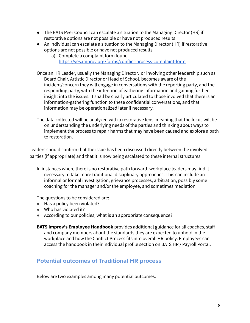- The BATS Peer Council can escalate a situation to the Managing Director (HR) if restorative options are not possible or have not produced results
- An individual can escalate a situation to the Managing Director (HR) if restorative options are not possible or have not produced results
	- a) Complete a complaint form found <https://yes.improv.org/forms/conflict-process-complaint-form>
- Once an HR Leader, usually the Managing Director, or involving other leadership such as Board Chair, Artistic Director or Head of School, becomes aware of the incident/concern they will engage in conversations with the reporting party, and the responding party, with the intention of gathering information and gaining further insight into the issues. It shall be clearly articulated to those involved that there is an information-gathering function to these confidential conversations, and that information may be operationalized later if necessary.
- The data collected will be analyzed with a restorative lens, meaning that the focus will be on understanding the underlying needs of the parties and thinking about ways to implement the process to repair harms that may have been caused and explore a path to restoration.

Leaders should confirm that the issue has been discussed directly between the involved parties (if appropriate) and that it is now being escalated to these internal structures.

In instances where there is no restorative path forward, workplace leaders may find it necessary to take more traditional disciplinary approaches. This can include an informal or formal investigation, grievance processes, arbitration, possibly some coaching for the manager and/or the employee, and sometimes mediation.

The questions to be considered are:

- Has a policy been violated?
- Who has violated it?
- According to our policies, what is an appropriate consequence?
- **BATS Improv's Employee Handbook** provides additional guidance for all coaches, staff and company members about the standards they are expected to uphold in the workplace and how the Conflict Process fits into overall HR policy. Employees can access the handbook in their individual profile section on BATS HR / Payroll Portal.

#### **Potential outcomes of Traditional HR process**

Below are two examples among many potential outcomes.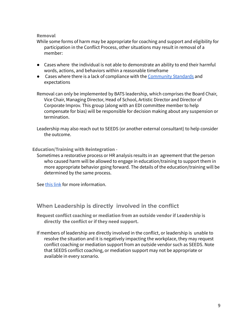#### **Removal**

While some forms of harm may be appropriate for coaching and support and eligibility for participation in the Conflict Process, other situations may result in removal of a member:

- Cases where the individual is not able to demonstrate an ability to end their harmful words, actions, and behaviors within a reasonable timeframe
- Cases where there is a lack of compliance with the [Community](https://docs.google.com/document/d/1S5AyIFGx42eB421VVLwtEvU45BBTH4--J-u325yXz48/edit?usp=sharing) Standards and expectations

Removal can only be implemented by BATS leadership, which comprises the Board Chair, Vice Chair, Managing Director, Head of School, Artistic Director and Director of Corporate Improv. This group (along with an EDI committee member to help compensate for bias) will be responsible for decision making about any suspension or termination.

Leadership may also reach out to SEEDS (or another external consultant) to help consider the outcome.

**Education/Training with Reintegration -**

Sometimes a restorative process or HR analysis results in an agreement that the person who caused harm will be allowed to engage in education/training to support them in more appropriate behavior going forward. The details of the education/training will be determined by the same process.

See this [link](https://docs.google.com/document/d/1f_dLt-tU0UQ-ua7TZgv70oD6ieIsrE_wl5Y7SPm-nVE/edit?usp=sharing) for more information.

#### **When Leadership is directly involved in the conflict**

**Request conflict coaching or mediation from an outside vendor if Leadership is directly the conflict or if they need support.**

If members of leadership are directly involved in the conflict, or leadership is unable to resolve the situation and it is negatively impacting the workplace, they may request conflict coaching or mediation support from an outside vendor such as SEEDS. Note that SEEDS conflict coaching, or mediation support may not be appropriate or available in every scenario.